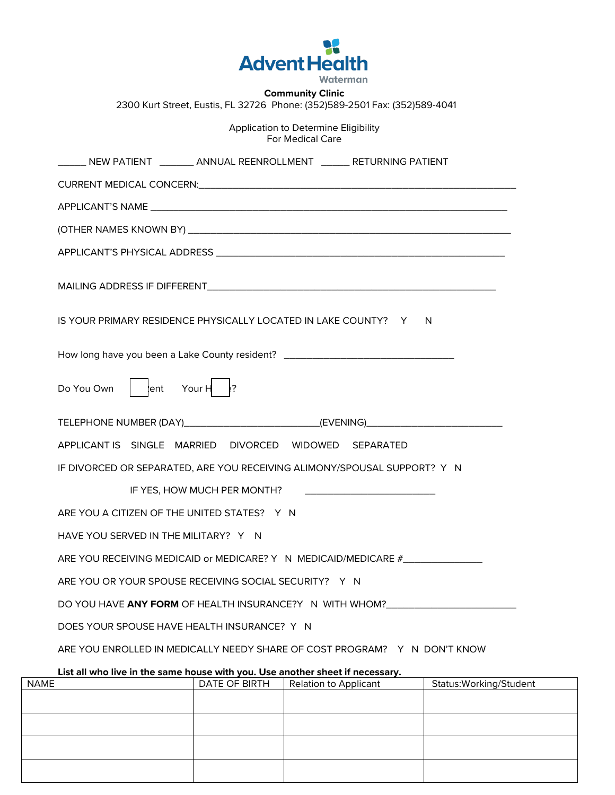

**Community Clinic** 2300 Kurt Street, Eustis, FL 32726 Phone: (352)589-2501 Fax: (352)589-4041

> Application to Determine Eligibility For Medical Care

| ______ NEW PATIENT ________ ANNUAL REENROLLMENT _______ RETURNING PATIENT                                                                       |  |  |
|-------------------------------------------------------------------------------------------------------------------------------------------------|--|--|
|                                                                                                                                                 |  |  |
|                                                                                                                                                 |  |  |
|                                                                                                                                                 |  |  |
|                                                                                                                                                 |  |  |
|                                                                                                                                                 |  |  |
| IS YOUR PRIMARY RESIDENCE PHYSICALLY LOCATED IN LAKE COUNTY? Y N                                                                                |  |  |
| How long have you been a Lake County resident? _________________________________                                                                |  |  |
| Your $H$ ?<br>lent<br>Do You Own                                                                                                                |  |  |
| TELEPHONE NUMBER (DAY)__________________________(EVENING)_______________________                                                                |  |  |
| APPLICANT IS SINGLE MARRIED DIVORCED WIDOWED SEPARATED                                                                                          |  |  |
| IF DIVORCED OR SEPARATED, ARE YOU RECEIVING ALIMONY/SPOUSAL SUPPORT? Y N                                                                        |  |  |
|                                                                                                                                                 |  |  |
| ARE YOU A CITIZEN OF THE UNITED STATES? Y N                                                                                                     |  |  |
| HAVE YOU SERVED IN THE MILITARY? Y N                                                                                                            |  |  |
| ARE YOU RECEIVING MEDICAID or MEDICARE? Y N MEDICAID/MEDICARE #_________________                                                                |  |  |
| ARE YOU OR YOUR SPOUSE RECEIVING SOCIAL SECURITY? Y N                                                                                           |  |  |
| DO YOU HAVE ANY FORM OF HEALTH INSURANCE?Y N WITH WHOM?                                                                                         |  |  |
| DOES YOUR SPOUSE HAVE HEALTH INSURANCE? Y N                                                                                                     |  |  |
| ARE YOU ENROLLED IN MEDICALLY NEEDY SHARE OF COST PROGRAM? Y N DON'T KNOW                                                                       |  |  |
| List all who live in the same house with you. Use another sheet if necessary.<br>Status: Working/Stude<br>DATE OF RIPTH   Polation to Applicant |  |  |

| <b>NAME</b> | DATE OF BIRTH | Relation to Applicant | Status: Working/Student |
|-------------|---------------|-----------------------|-------------------------|
|             |               |                       |                         |
|             |               |                       |                         |
|             |               |                       |                         |
|             |               |                       |                         |
|             |               |                       |                         |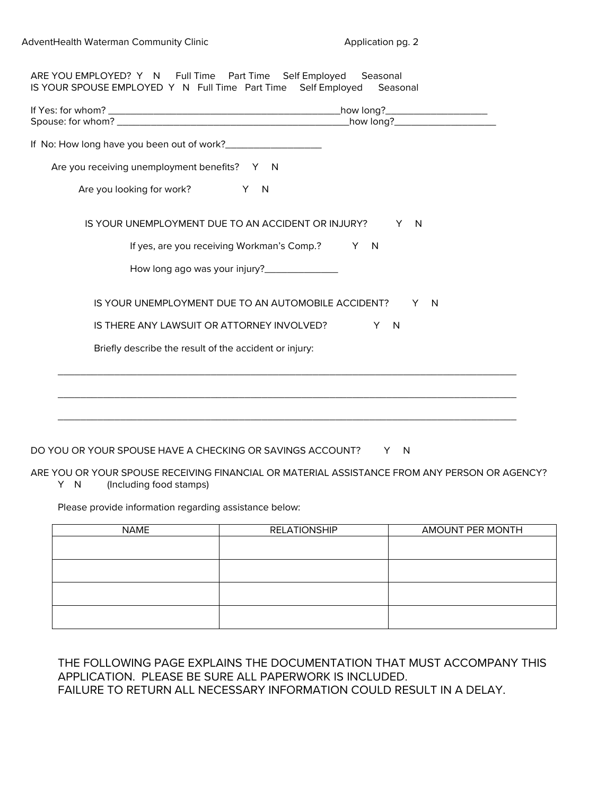| Are you receiving unemployment benefits? Y N           |                     |
|--------------------------------------------------------|---------------------|
| Are you looking for work?<br>X N                       |                     |
| IS YOUR UNEMPLOYMENT DUE TO AN ACCIDENT OR INJURY?     | $\overline{N}$<br>Y |
| If yes, are you receiving Workman's Comp.? Y N         |                     |
|                                                        |                     |
| IS YOUR UNEMPLOYMENT DUE TO AN AUTOMOBILE ACCIDENT?    | Y<br>$\overline{N}$ |
| IS THERE ANY LAWSUIT OR ATTORNEY INVOLVED?             | Y N                 |
| Briefly describe the result of the accident or injury: |                     |
|                                                        |                     |
|                                                        |                     |

DO YOU OR YOUR SPOUSE HAVE A CHECKING OR SAVINGS ACCOUNT? Y N

ARE YOU OR YOUR SPOUSE RECEIVING FINANCIAL OR MATERIAL ASSISTANCE FROM ANY PERSON OR AGENCY? Y N (Including food stamps)

Please provide information regarding assistance below:

| <b>NAME</b> | <b>RELATIONSHIP</b> | AMOUNT PER MONTH |
|-------------|---------------------|------------------|
|             |                     |                  |
|             |                     |                  |
|             |                     |                  |
|             |                     |                  |
|             |                     |                  |
|             |                     |                  |
|             |                     |                  |
|             |                     |                  |

THE FOLLOWING PAGE EXPLAINS THE DOCUMENTATION THAT MUST ACCOMPANY THIS APPLICATION. PLEASE BE SURE ALL PAPERWORK IS INCLUDED. FAILURE TO RETURN ALL NECESSARY INFORMATION COULD RESULT IN A DELAY.